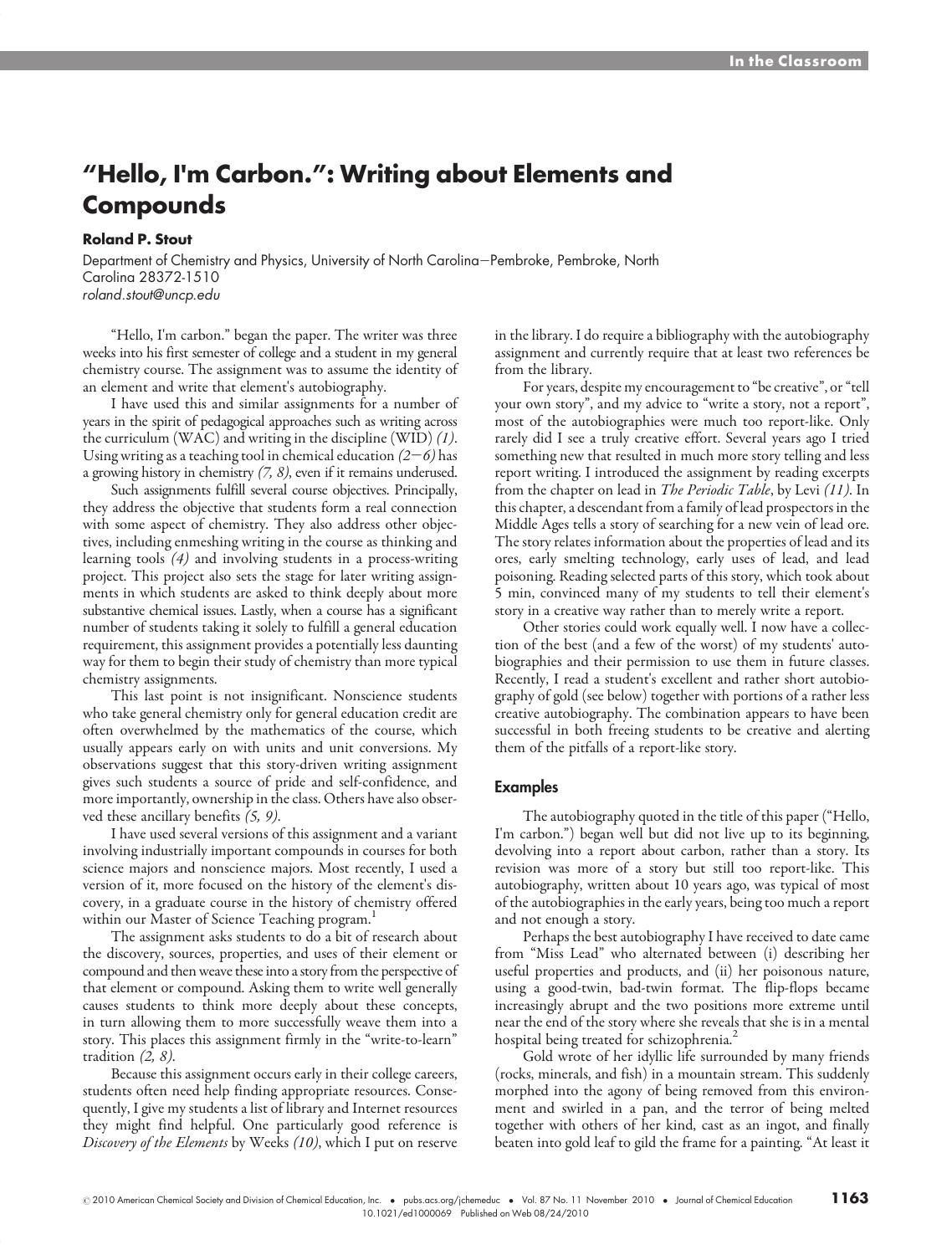# "Hello, I'm Carbon.": Writing about Elements and Compounds

## Roland P. Stout

Department of Chemistry and Physics, University of North Carolina-Pembroke, Pembroke, North Carolina 28372-1510 roland.stout@uncp.edu

"Hello, I'm carbon." began the paper. The writer was three weeks into his first semester of college and a student in my general chemistry course. The assignment was to assume the identity of an element and write that element's autobiography.

I have used this and similar assignments for a number of years in the spirit of pedagogical approaches such as writing across the curriculum (WAC) and writing in the discipline (WID)  $(1)$ . Using writing as a teaching tool in chemical education  $(2-6)$  has a growing history in chemistry (7, 8), even if it remains underused.

Such assignments fulfill several course objectives. Principally, they address the objective that students form a real connection with some aspect of chemistry. They also address other objectives, including enmeshing writing in the course as thinking and learning tools (4) and involving students in a process-writing project. This project also sets the stage for later writing assignments in which students are asked to think deeply about more substantive chemical issues. Lastly, when a course has a significant number of students taking it solely to fulfill a general education requirement, this assignment provides a potentially less daunting way for them to begin their study of chemistry than more typical chemistry assignments.

This last point is not insignificant. Nonscience students who take general chemistry only for general education credit are often overwhelmed by the mathematics of the course, which usually appears early on with units and unit conversions. My observations suggest that this story-driven writing assignment gives such students a source of pride and self-confidence, and more importantly, ownership in the class. Others have also observed these ancillary benefits (5, 9).

I have used several versions of this assignment and a variant involving industrially important compounds in courses for both science majors and nonscience majors. Most recently, I used a version of it, more focused on the history of the element's discovery, in a graduate course in the history of chemistry offered within our Master of Science Teaching program.<sup>1</sup>

The assignment asks students to do a bit of research about the discovery, sources, properties, and uses of their element or compound and then weave these into a story from the perspective of that element or compound. Asking them to write well generally causes students to think more deeply about these concepts, in turn allowing them to more successfully weave them into a story. This places this assignment firmly in the "write-to-learn" tradition  $(2, 8)$ .

Because this assignment occurs early in their college careers, students often need help finding appropriate resources. Consequently, I give my students a list of library and Internet resources they might find helpful. One particularly good reference is Discovery of the Elements by Weeks (10), which I put on reserve in the library. I do require a bibliography with the autobiography assignment and currently require that at least two references be from the library.

For years, despite my encouragement to "be creative", or "tell your own story", and my advice to "write a story, not a report", most of the autobiographies were much too report-like. Only rarely did I see a truly creative effort. Several years ago I tried something new that resulted in much more story telling and less report writing. I introduced the assignment by reading excerpts from the chapter on lead in *The Periodic Table*, by Levi (11). In this chapter, a descendant from a family of lead prospectors in the Middle Ages tells a story of searching for a new vein of lead ore. The story relates information about the properties of lead and its ores, early smelting technology, early uses of lead, and lead poisoning. Reading selected parts of this story, which took about 5 min, convinced many of my students to tell their element's story in a creative way rather than to merely write a report.

Other stories could work equally well. I now have a collection of the best (and a few of the worst) of my students' autobiographies and their permission to use them in future classes. Recently, I read a student's excellent and rather short autobiography of gold (see below) together with portions of a rather less creative autobiography. The combination appears to have been successful in both freeing students to be creative and alerting them of the pitfalls of a report-like story.

#### Examples

The autobiography quoted in the title of this paper ("Hello, I'm carbon.") began well but did not live up to its beginning, devolving into a report about carbon, rather than a story. Its revision was more of a story but still too report-like. This autobiography, written about 10 years ago, was typical of most of the autobiographies in the early years, being too much a report and not enough a story.

Perhaps the best autobiography I have received to date came from "Miss Lead" who alternated between (i) describing her useful properties and products, and (ii) her poisonous nature, using a good-twin, bad-twin format. The flip-flops became increasingly abrupt and the two positions more extreme until near the end of the story where she reveals that she is in a mental hospital being treated for schizophrenia.<sup>2</sup>

Gold wrote of her idyllic life surrounded by many friends (rocks, minerals, and fish) in a mountain stream. This suddenly morphed into the agony of being removed from this environment and swirled in a pan, and the terror of being melted together with others of her kind, cast as an ingot, and finally beaten into gold leaf to gild the frame for a painting. "At least it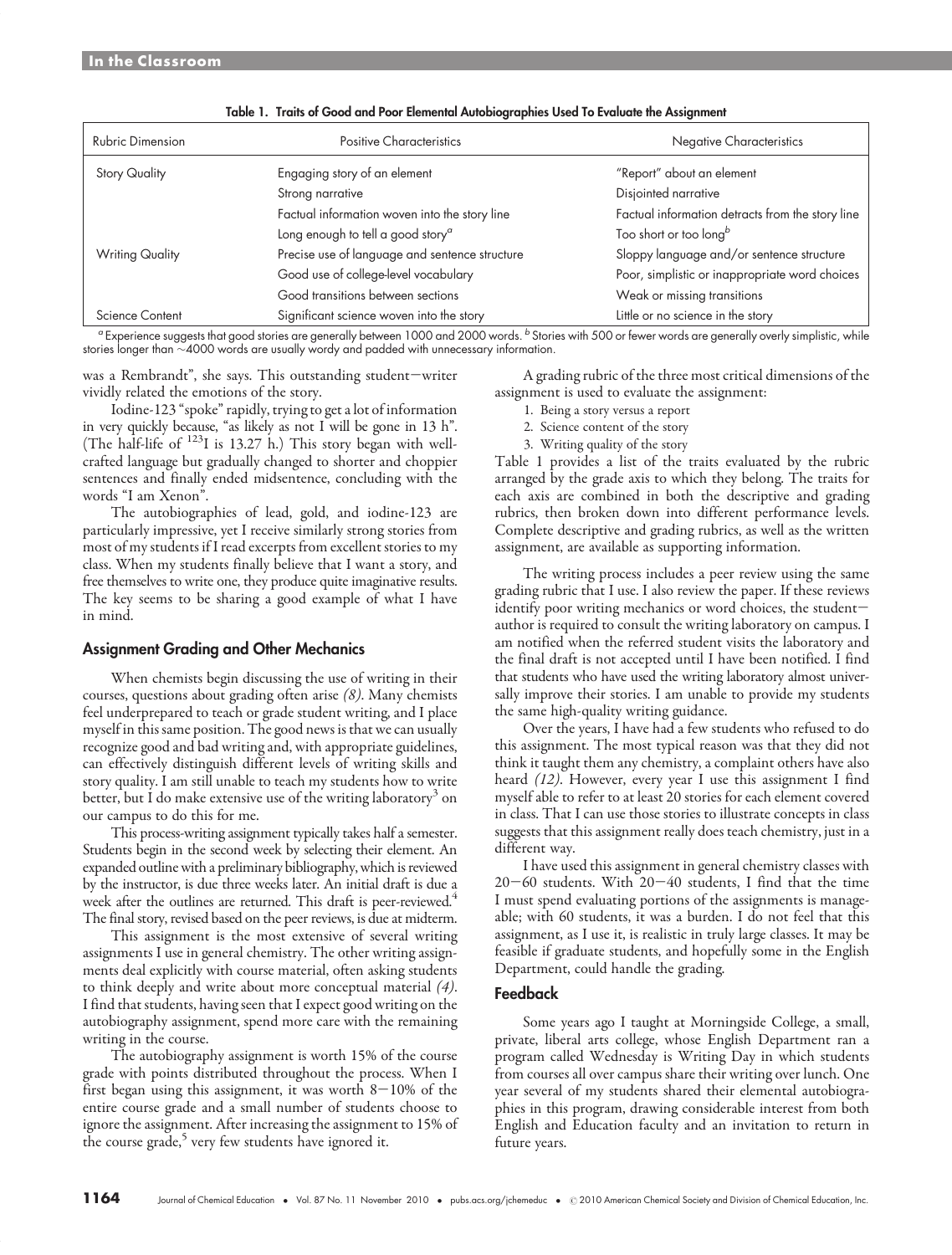| <b>Rubric Dimension</b> | <b>Positive Characteristics</b>                | Negative Characteristics                         |  |  |  |
|-------------------------|------------------------------------------------|--------------------------------------------------|--|--|--|
| <b>Story Quality</b>    | Engaging story of an element                   | "Report" about an element                        |  |  |  |
|                         | Strong narrative                               | Disjointed narrative                             |  |  |  |
|                         | Factual information woven into the story line  | Factual information detracts from the story line |  |  |  |
|                         | Long enough to tell a good story <sup>a</sup>  | Too short or too long <sup>b</sup>               |  |  |  |
| <b>Writing Quality</b>  | Precise use of language and sentence structure | Sloppy language and/or sentence structure        |  |  |  |
|                         | Good use of college-level vocabulary           | Poor, simplistic or inappropriate word choices   |  |  |  |
|                         | Good transitions between sections              | Weak or missing transitions                      |  |  |  |
| Science Content         | Significant science woven into the story       | Little or no science in the story                |  |  |  |

| Table 1. Traits of Good and Poor Elemental Autobiographies Used To Evaluate the Assignment |  |  |  |  |
|--------------------------------------------------------------------------------------------|--|--|--|--|
|                                                                                            |  |  |  |  |

<sup>a</sup> Experience suggests that good stories are generally between 1000 and 2000 words. <sup>b</sup> Stories with 500 or fewer words are generally overly simplistic, while stories longer than ∼4000 words are usually wordy and padded with unnecessary information.

was a Rembrandt", she says. This outstanding student-writer vividly related the emotions of the story.

Iodine-123 "spoke"rapidly, trying to get a lot of information in very quickly because, "as likely as not I will be gone in 13 h". (The half-life of <sup>123</sup>I is 13.27 h.) This story began with wellcrafted language but gradually changed to shorter and choppier sentences and finally ended midsentence, concluding with the words "I am Xenon".

The autobiographies of lead, gold, and iodine-123 are particularly impressive, yet I receive similarly strong stories from most of my students if I read excerpts from excellent stories to my class. When my students finally believe that I want a story, and free themselves to write one, they produce quite imaginative results. The key seems to be sharing a good example of what I have in mind.

# Assignment Grading and Other Mechanics

When chemists begin discussing the use of writing in their courses, questions about grading often arise (8). Many chemists feel underprepared to teach or grade student writing, and I place myself in this same position. The good news is that we can usually recognize good and bad writing and, with appropriate guidelines, can effectively distinguish different levels of writing skills and story quality. I am still unable to teach my students how to write better, but I do make extensive use of the writing laboratory<sup>3</sup> on our campus to do this for me.

This process-writing assignment typically takes half a semester. Students begin in the second week by selecting their element. An expanded outline with a preliminary bibliography, which is reviewed by the instructor, is due three weeks later. An initial draft is due a week after the outlines are returned. This draft is peer-reviewed.<sup>4</sup> The final story, revised based on the peer reviews, is due at midterm.

This assignment is the most extensive of several writing assignments I use in general chemistry. The other writing assignments deal explicitly with course material, often asking students to think deeply and write about more conceptual material (4). I find that students, having seen that I expect good writing on the autobiography assignment, spend more care with the remaining writing in the course.

The autobiography assignment is worth 15% of the course grade with points distributed throughout the process. When I first began using this assignment, it was worth  $8-10\%$  of the entire course grade and a small number of students choose to ignore the assignment. After increasing the assignment to 15% of the course grade,<sup>5</sup> very few students have ignored it.

A grading rubric of the three most critical dimensions of the assignment is used to evaluate the assignment:

- 1. Being a story versus a report
- 2. Science content of the story
- 3. Writing quality of the story

Table 1 provides a list of the traits evaluated by the rubric arranged by the grade axis to which they belong. The traits for each axis are combined in both the descriptive and grading rubrics, then broken down into different performance levels. Complete descriptive and grading rubrics, as well as the written assignment, are available as supporting information.

The writing process includes a peer review using the same grading rubric that I use. I also review the paper. If these reviews identify poor writing mechanics or word choices, the studentauthor is required to consult the writing laboratory on campus. I am notified when the referred student visits the laboratory and the final draft is not accepted until I have been notified. I find that students who have used the writing laboratory almost universally improve their stories. I am unable to provide my students the same high-quality writing guidance.

Over the years, I have had a few students who refused to do this assignment. The most typical reason was that they did not think it taught them any chemistry, a complaint others have also heard (12). However, every year I use this assignment I find myself able to refer to at least 20 stories for each element covered in class. That I can use those stories to illustrate concepts in class suggests that this assignment really does teach chemistry, just in a different way.

I have used this assignment in general chemistry classes with  $20-60$  students. With  $20-40$  students, I find that the time I must spend evaluating portions of the assignments is manageable; with 60 students, it was a burden. I do not feel that this assignment, as I use it, is realistic in truly large classes. It may be feasible if graduate students, and hopefully some in the English Department, could handle the grading.

# Feedback

Some years ago I taught at Morningside College, a small, private, liberal arts college, whose English Department ran a program called Wednesday is Writing Day in which students from courses all over campus share their writing over lunch. One year several of my students shared their elemental autobiographies in this program, drawing considerable interest from both English and Education faculty and an invitation to return in future years.